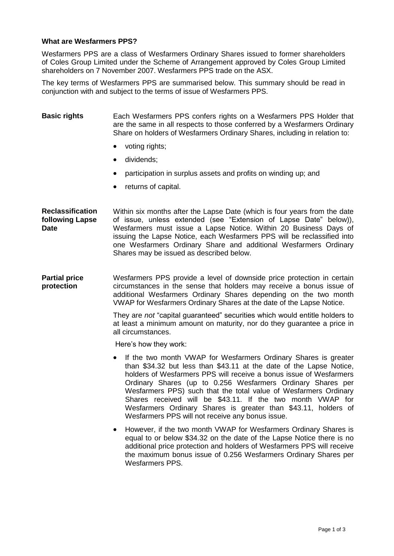## **What are Wesfarmers PPS?**

Wesfarmers PPS are a class of Wesfarmers Ordinary Shares issued to former shareholders of Coles Group Limited under the Scheme of Arrangement approved by Coles Group Limited shareholders on 7 November 2007. Wesfarmers PPS trade on the ASX.

The key terms of Wesfarmers PPS are summarised below. This summary should be read in conjunction with and subject to the terms of issue of Wesfarmers PPS.

## **Basic rights** Each Wesfarmers PPS confers rights on a Wesfarmers PPS Holder that are the same in all respects to those conferred by a Wesfarmers Ordinary Share on holders of Wesfarmers Ordinary Shares, including in relation to:

- voting rights;
- dividends;
- participation in surplus assets and profits on winding up; and
- returns of capital.

**Reclassification following Lapse Date**  Within six months after the Lapse Date (which is four years from the date of issue, unless extended (see "Extension of Lapse Date" below)), Wesfarmers must issue a Lapse Notice. Within 20 Business Days of issuing the Lapse Notice, each Wesfarmers PPS will be reclassified into one Wesfarmers Ordinary Share and additional Wesfarmers Ordinary Shares may be issued as described below.

**Partial price protection** Wesfarmers PPS provide a level of downside price protection in certain circumstances in the sense that holders may receive a bonus issue of additional Wesfarmers Ordinary Shares depending on the two month VWAP for Wesfarmers Ordinary Shares at the date of the Lapse Notice.

> They are *not* "capital guaranteed" securities which would entitle holders to at least a minimum amount on maturity, nor do they guarantee a price in all circumstances.

Here's how they work:

- If the two month VWAP for Wesfarmers Ordinary Shares is greater than \$34.32 but less than \$43.11 at the date of the Lapse Notice, holders of Wesfarmers PPS will receive a bonus issue of Wesfarmers Ordinary Shares (up to 0.256 Wesfarmers Ordinary Shares per Wesfarmers PPS) such that the total value of Wesfarmers Ordinary Shares received will be \$43.11. If the two month VWAP for Wesfarmers Ordinary Shares is greater than \$43.11, holders of Wesfarmers PPS will not receive any bonus issue.
- However, if the two month VWAP for Wesfarmers Ordinary Shares is equal to or below \$34.32 on the date of the Lapse Notice there is no additional price protection and holders of Wesfarmers PPS will receive the maximum bonus issue of 0.256 Wesfarmers Ordinary Shares per Wesfarmers PPS.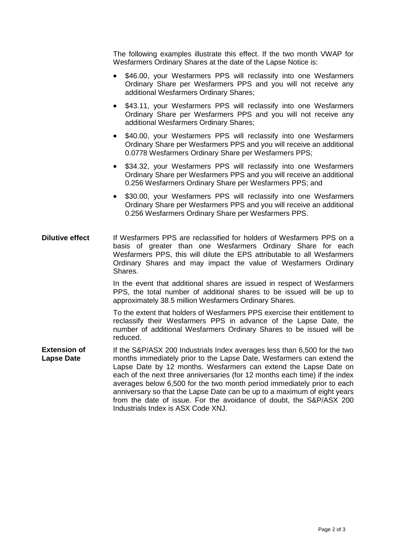The following examples illustrate this effect. If the two month VWAP for Wesfarmers Ordinary Shares at the date of the Lapse Notice is:

- \$46.00, your Wesfarmers PPS will reclassify into one Wesfarmers Ordinary Share per Wesfarmers PPS and you will not receive any additional Wesfarmers Ordinary Shares;
- \$43.11, your Wesfarmers PPS will reclassify into one Wesfarmers Ordinary Share per Wesfarmers PPS and you will not receive any additional Wesfarmers Ordinary Shares;
- \$40.00, your Wesfarmers PPS will reclassify into one Wesfarmers Ordinary Share per Wesfarmers PPS and you will receive an additional 0.0778 Wesfarmers Ordinary Share per Wesfarmers PPS;
- \$34.32, your Wesfarmers PPS will reclassify into one Wesfarmers Ordinary Share per Wesfarmers PPS and you will receive an additional 0.256 Wesfarmers Ordinary Share per Wesfarmers PPS; and
- \$30.00, your Wesfarmers PPS will reclassify into one Wesfarmers Ordinary Share per Wesfarmers PPS and you will receive an additional 0.256 Wesfarmers Ordinary Share per Wesfarmers PPS.
- **Dilutive effect** If Wesfarmers PPS are reclassified for holders of Wesfarmers PPS on a basis of greater than one Wesfarmers Ordinary Share for each Wesfarmers PPS, this will dilute the EPS attributable to all Wesfarmers Ordinary Shares and may impact the value of Wesfarmers Ordinary Shares.

In the event that additional shares are issued in respect of Wesfarmers PPS, the total number of additional shares to be issued will be up to approximately 38.5 million Wesfarmers Ordinary Shares.

To the extent that holders of Wesfarmers PPS exercise their entitlement to reclassify their Wesfarmers PPS in advance of the Lapse Date, the number of additional Wesfarmers Ordinary Shares to be issued will be reduced.

**Extension of Lapse Date** If the S&P/ASX 200 Industrials Index averages less than 6,500 for the two months immediately prior to the Lapse Date, Wesfarmers can extend the Lapse Date by 12 months. Wesfarmers can extend the Lapse Date on each of the next three anniversaries (for 12 months each time) if the index averages below 6,500 for the two month period immediately prior to each anniversary so that the Lapse Date can be up to a maximum of eight years from the date of issue. For the avoidance of doubt, the S&P/ASX 200 Industrials Index is ASX Code XNJ.